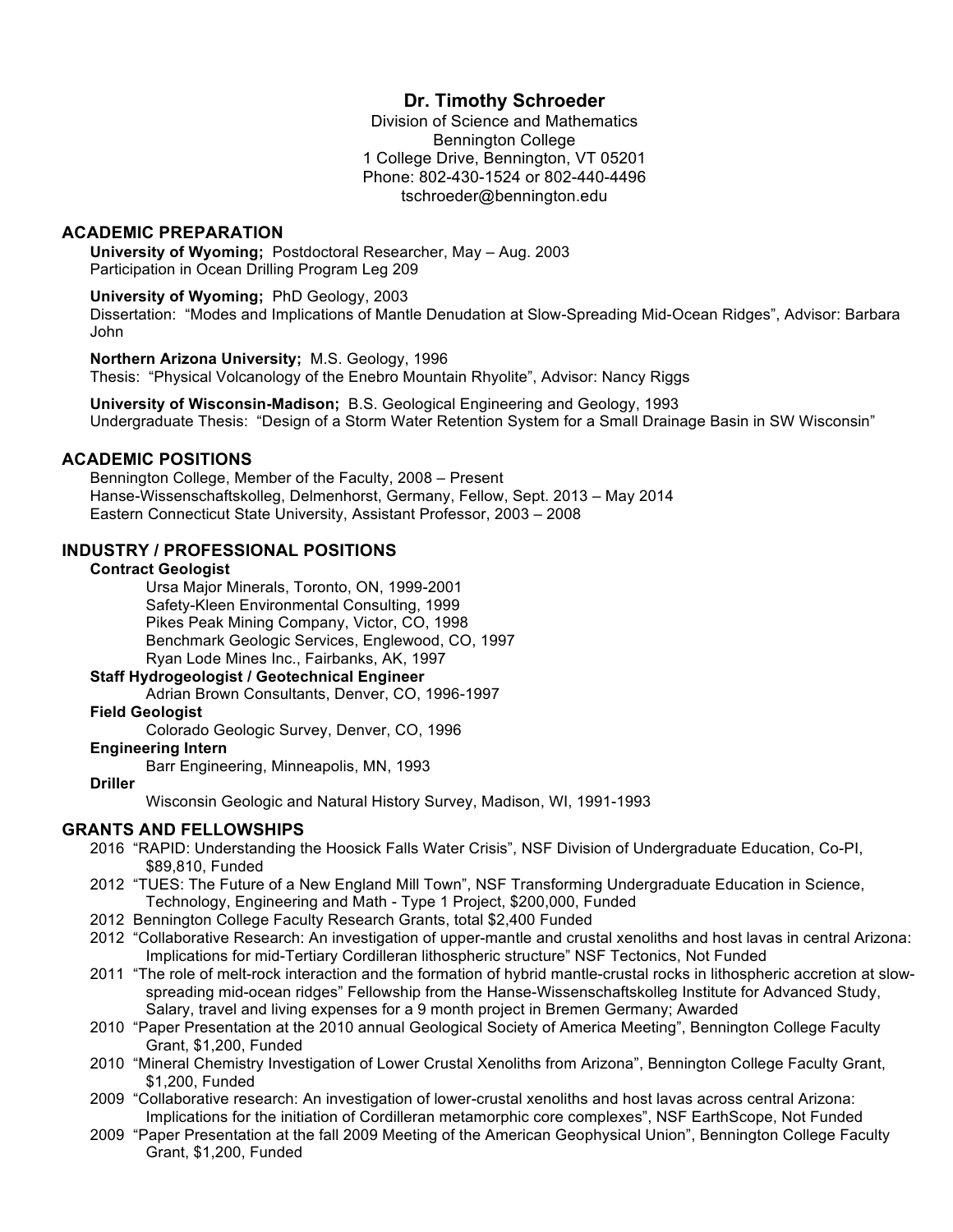# **Dr. Timothy Schroeder**

Division of Science and Mathematics Bennington College 1 College Drive, Bennington, VT 05201 Phone: 802-430-1524 or 802-440-4496 tschroeder@bennington.edu

## **ACADEMIC PREPARATION**

**University of Wyoming;** Postdoctoral Researcher, May – Aug. 2003 Participation in Ocean Drilling Program Leg 209

**University of Wyoming;** PhD Geology, 2003 Dissertation: "Modes and Implications of Mantle Denudation at Slow-Spreading Mid-Ocean Ridges", Advisor: Barbara John

**Northern Arizona University;** M.S. Geology, 1996 Thesis: "Physical Volcanology of the Enebro Mountain Rhyolite", Advisor: Nancy Riggs

**University of Wisconsin-Madison;** B.S. Geological Engineering and Geology, 1993 Undergraduate Thesis: "Design of a Storm Water Retention System for a Small Drainage Basin in SW Wisconsin"

## **ACADEMIC POSITIONS**

Bennington College, Member of the Faculty, 2008 – Present Hanse-Wissenschaftskolleg, Delmenhorst, Germany, Fellow, Sept. 2013 – May 2014 Eastern Connecticut State University, Assistant Professor, 2003 – 2008

## **INDUSTRY / PROFESSIONAL POSITIONS**

### **Contract Geologist**

Ursa Major Minerals, Toronto, ON, 1999-2001 Safety-Kleen Environmental Consulting, 1999 Pikes Peak Mining Company, Victor, CO, 1998 Benchmark Geologic Services, Englewood, CO, 1997 Ryan Lode Mines Inc., Fairbanks, AK, 1997

## **Staff Hydrogeologist / Geotechnical Engineer**

Adrian Brown Consultants, Denver, CO, 1996-1997

# **Field Geologist**

Colorado Geologic Survey, Denver, CO, 1996

### **Engineering Intern**

Barr Engineering, Minneapolis, MN, 1993

**Driller**

Wisconsin Geologic and Natural History Survey, Madison, WI, 1991-1993

## **GRANTS AND FELLOWSHIPS**

- 2016 "RAPID: Understanding the Hoosick Falls Water Crisis", NSF Division of Undergraduate Education, Co-PI, \$89,810, Funded
- 2012 "TUES: The Future of a New England Mill Town", NSF Transforming Undergraduate Education in Science, Technology, Engineering and Math - Type 1 Project, \$200,000, Funded
- 2012 Bennington College Faculty Research Grants, total \$2,400 Funded
- 2012 "Collaborative Research: An investigation of upper-mantle and crustal xenoliths and host lavas in central Arizona: Implications for mid-Tertiary Cordilleran lithospheric structure" NSF Tectonics, Not Funded
- 2011 "The role of melt-rock interaction and the formation of hybrid mantle-crustal rocks in lithospheric accretion at slowspreading mid-ocean ridges" Fellowship from the Hanse-Wissenschaftskolleg Institute for Advanced Study, Salary, travel and living expenses for a 9 month project in Bremen Germany; Awarded
- 2010 "Paper Presentation at the 2010 annual Geological Society of America Meeting", Bennington College Faculty Grant, \$1,200, Funded
- 2010 "Mineral Chemistry Investigation of Lower Crustal Xenoliths from Arizona", Bennington College Faculty Grant, \$1,200, Funded
- 2009 "Collaborative research: An investigation of lower-crustal xenoliths and host lavas across central Arizona: Implications for the initiation of Cordilleran metamorphic core complexes", NSF EarthScope, Not Funded
- 2009 "Paper Presentation at the fall 2009 Meeting of the American Geophysical Union", Bennington College Faculty Grant, \$1,200, Funded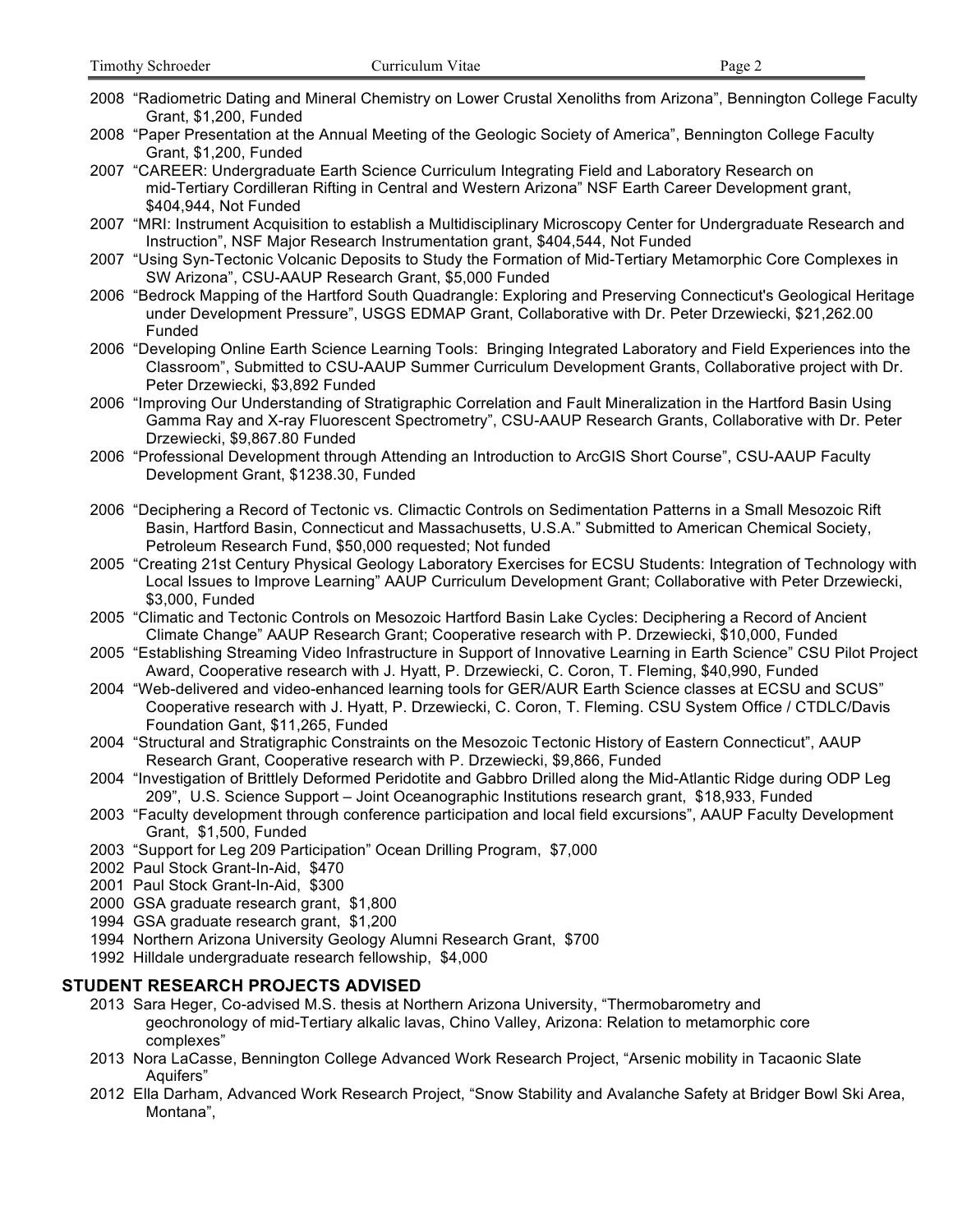- 2008 "Radiometric Dating and Mineral Chemistry on Lower Crustal Xenoliths from Arizona", Bennington College Faculty Grant, \$1,200, Funded
- 2008 "Paper Presentation at the Annual Meeting of the Geologic Society of America", Bennington College Faculty Grant, \$1,200, Funded

2007 "CAREER: Undergraduate Earth Science Curriculum Integrating Field and Laboratory Research on mid-Tertiary Cordilleran Rifting in Central and Western Arizona" NSF Earth Career Development grant, \$404,944, Not Funded

- 2007 "MRI: Instrument Acquisition to establish a Multidisciplinary Microscopy Center for Undergraduate Research and Instruction", NSF Major Research Instrumentation grant, \$404,544, Not Funded
- 2007 "Using Syn-Tectonic Volcanic Deposits to Study the Formation of Mid-Tertiary Metamorphic Core Complexes in SW Arizona", CSU-AAUP Research Grant, \$5,000 Funded
- 2006 "Bedrock Mapping of the Hartford South Quadrangle: Exploring and Preserving Connecticut's Geological Heritage under Development Pressure", USGS EDMAP Grant, Collaborative with Dr. Peter Drzewiecki, \$21,262.00 Funded
- 2006 "Developing Online Earth Science Learning Tools: Bringing Integrated Laboratory and Field Experiences into the Classroom", Submitted to CSU-AAUP Summer Curriculum Development Grants, Collaborative project with Dr. Peter Drzewiecki, \$3,892 Funded
- 2006 "Improving Our Understanding of Stratigraphic Correlation and Fault Mineralization in the Hartford Basin Using Gamma Ray and X-ray Fluorescent Spectrometry", CSU-AAUP Research Grants, Collaborative with Dr. Peter Drzewiecki, \$9,867.80 Funded
- 2006 "Professional Development through Attending an Introduction to ArcGIS Short Course", CSU-AAUP Faculty Development Grant, \$1238.30, Funded
- 2006 "Deciphering a Record of Tectonic vs. Climactic Controls on Sedimentation Patterns in a Small Mesozoic Rift Basin, Hartford Basin, Connecticut and Massachusetts, U.S.A." Submitted to American Chemical Society, Petroleum Research Fund, \$50,000 requested; Not funded
- 2005 "Creating 21st Century Physical Geology Laboratory Exercises for ECSU Students: Integration of Technology with Local Issues to Improve Learning" AAUP Curriculum Development Grant; Collaborative with Peter Drzewiecki, \$3,000, Funded
- 2005 "Climatic and Tectonic Controls on Mesozoic Hartford Basin Lake Cycles: Deciphering a Record of Ancient Climate Change" AAUP Research Grant; Cooperative research with P. Drzewiecki, \$10,000, Funded
- 2005 "Establishing Streaming Video Infrastructure in Support of Innovative Learning in Earth Science" CSU Pilot Project Award, Cooperative research with J. Hyatt, P. Drzewiecki, C. Coron, T. Fleming, \$40,990, Funded
- 2004 "Web-delivered and video-enhanced learning tools for GER/AUR Earth Science classes at ECSU and SCUS" Cooperative research with J. Hyatt, P. Drzewiecki, C. Coron, T. Fleming. CSU System Office / CTDLC/Davis Foundation Gant, \$11,265, Funded
- 2004 "Structural and Stratigraphic Constraints on the Mesozoic Tectonic History of Eastern Connecticut", AAUP Research Grant, Cooperative research with P. Drzewiecki, \$9,866, Funded
- 2004 "Investigation of Brittlely Deformed Peridotite and Gabbro Drilled along the Mid-Atlantic Ridge during ODP Leg 209", U.S. Science Support – Joint Oceanographic Institutions research grant, \$18,933, Funded
- 2003 "Faculty development through conference participation and local field excursions", AAUP Faculty Development Grant, \$1,500, Funded
- 2003 "Support for Leg 209 Participation" Ocean Drilling Program, \$7,000
- 2002 Paul Stock Grant-In-Aid, \$470
- 2001 Paul Stock Grant-In-Aid, \$300
- 2000 GSA graduate research grant, \$1,800
- 1994 GSA graduate research grant, \$1,200
- 1994 Northern Arizona University Geology Alumni Research Grant, \$700
- 1992 Hilldale undergraduate research fellowship, \$4,000

## **STUDENT RESEARCH PROJECTS ADVISED**

- 2013 Sara Heger, Co-advised M.S. thesis at Northern Arizona University, "Thermobarometry and geochronology of mid-Tertiary alkalic lavas, Chino Valley, Arizona: Relation to metamorphic core complexes"
- 2013 Nora LaCasse, Bennington College Advanced Work Research Project, "Arsenic mobility in Tacaonic Slate Aquifers"
- 2012 Ella Darham, Advanced Work Research Project, "Snow Stability and Avalanche Safety at Bridger Bowl Ski Area, Montana",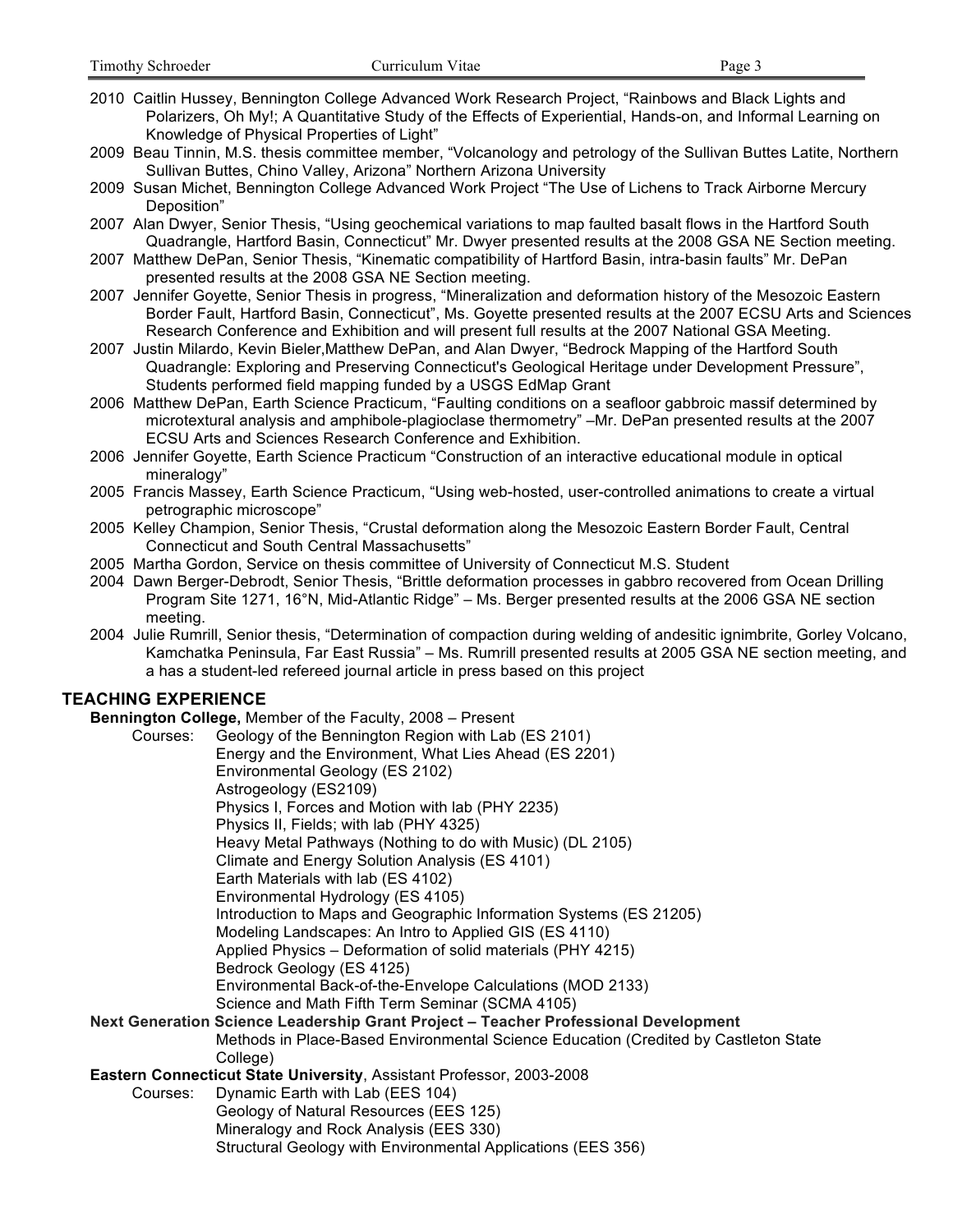- 2010 Caitlin Hussey, Bennington College Advanced Work Research Project, "Rainbows and Black Lights and Polarizers, Oh My!; A Quantitative Study of the Effects of Experiential, Hands-on, and Informal Learning on Knowledge of Physical Properties of Light"
- 2009 Beau Tinnin, M.S. thesis committee member, "Volcanology and petrology of the Sullivan Buttes Latite, Northern Sullivan Buttes, Chino Valley, Arizona" Northern Arizona University
- 2009 Susan Michet, Bennington College Advanced Work Project "The Use of Lichens to Track Airborne Mercury Deposition"
- 2007 Alan Dwyer, Senior Thesis, "Using geochemical variations to map faulted basalt flows in the Hartford South Quadrangle, Hartford Basin, Connecticut" Mr. Dwyer presented results at the 2008 GSA NE Section meeting.
- 2007 Matthew DePan, Senior Thesis, "Kinematic compatibility of Hartford Basin, intra-basin faults" Mr. DePan presented results at the 2008 GSA NE Section meeting.
- 2007 Jennifer Goyette, Senior Thesis in progress, "Mineralization and deformation history of the Mesozoic Eastern Border Fault, Hartford Basin, Connecticut", Ms. Goyette presented results at the 2007 ECSU Arts and Sciences Research Conference and Exhibition and will present full results at the 2007 National GSA Meeting.
- 2007 Justin Milardo, Kevin Bieler,Matthew DePan, and Alan Dwyer, "Bedrock Mapping of the Hartford South Quadrangle: Exploring and Preserving Connecticut's Geological Heritage under Development Pressure", Students performed field mapping funded by a USGS EdMap Grant
- 2006 Matthew DePan, Earth Science Practicum, "Faulting conditions on a seafloor gabbroic massif determined by microtextural analysis and amphibole-plagioclase thermometry" –Mr. DePan presented results at the 2007 ECSU Arts and Sciences Research Conference and Exhibition.
- 2006 Jennifer Goyette, Earth Science Practicum "Construction of an interactive educational module in optical mineralogy"
- 2005 Francis Massey, Earth Science Practicum, "Using web-hosted, user-controlled animations to create a virtual petrographic microscope"
- 2005 Kelley Champion, Senior Thesis, "Crustal deformation along the Mesozoic Eastern Border Fault, Central Connecticut and South Central Massachusetts"
- 2005 Martha Gordon, Service on thesis committee of University of Connecticut M.S. Student
- 2004 Dawn Berger-Debrodt, Senior Thesis, "Brittle deformation processes in gabbro recovered from Ocean Drilling Program Site 1271, 16°N, Mid-Atlantic Ridge" – Ms. Berger presented results at the 2006 GSA NE section meeting.
- 2004 Julie Rumrill, Senior thesis, "Determination of compaction during welding of andesitic ignimbrite, Gorley Volcano, Kamchatka Peninsula, Far East Russia" – Ms. Rumrill presented results at 2005 GSA NE section meeting, and a has a student-led refereed journal article in press based on this project

# **TEACHING EXPERIENCE**

**Bennington College, Member of the Faculty, 2008 – Present Courses: Geology of the Bennington Region with Lab** 

Geology of the Bennington Region with Lab (ES 2101) Energy and the Environment, What Lies Ahead (ES 2201) Environmental Geology (ES 2102) Astrogeology (ES2109) Physics I, Forces and Motion with lab (PHY 2235) Physics II, Fields; with lab (PHY 4325) Heavy Metal Pathways (Nothing to do with Music) (DL 2105) Climate and Energy Solution Analysis (ES 4101) Earth Materials with lab (ES 4102) Environmental Hydrology (ES 4105) Introduction to Maps and Geographic Information Systems (ES 21205) Modeling Landscapes: An Intro to Applied GIS (ES 4110) Applied Physics – Deformation of solid materials (PHY 4215) Bedrock Geology (ES 4125) Environmental Back-of-the-Envelope Calculations (MOD 2133) Science and Math Fifth Term Seminar (SCMA 4105) **Next Generation Science Leadership Grant Project – Teacher Professional Development** Methods in Place-Based Environmental Science Education (Credited by Castleton State College) **Eastern Connecticut State University**, Assistant Professor, 2003-2008 Courses: Dynamic Earth with Lab (EES 104) Geology of Natural Resources (EES 125) Mineralogy and Rock Analysis (EES 330) Structural Geology with Environmental Applications (EES 356)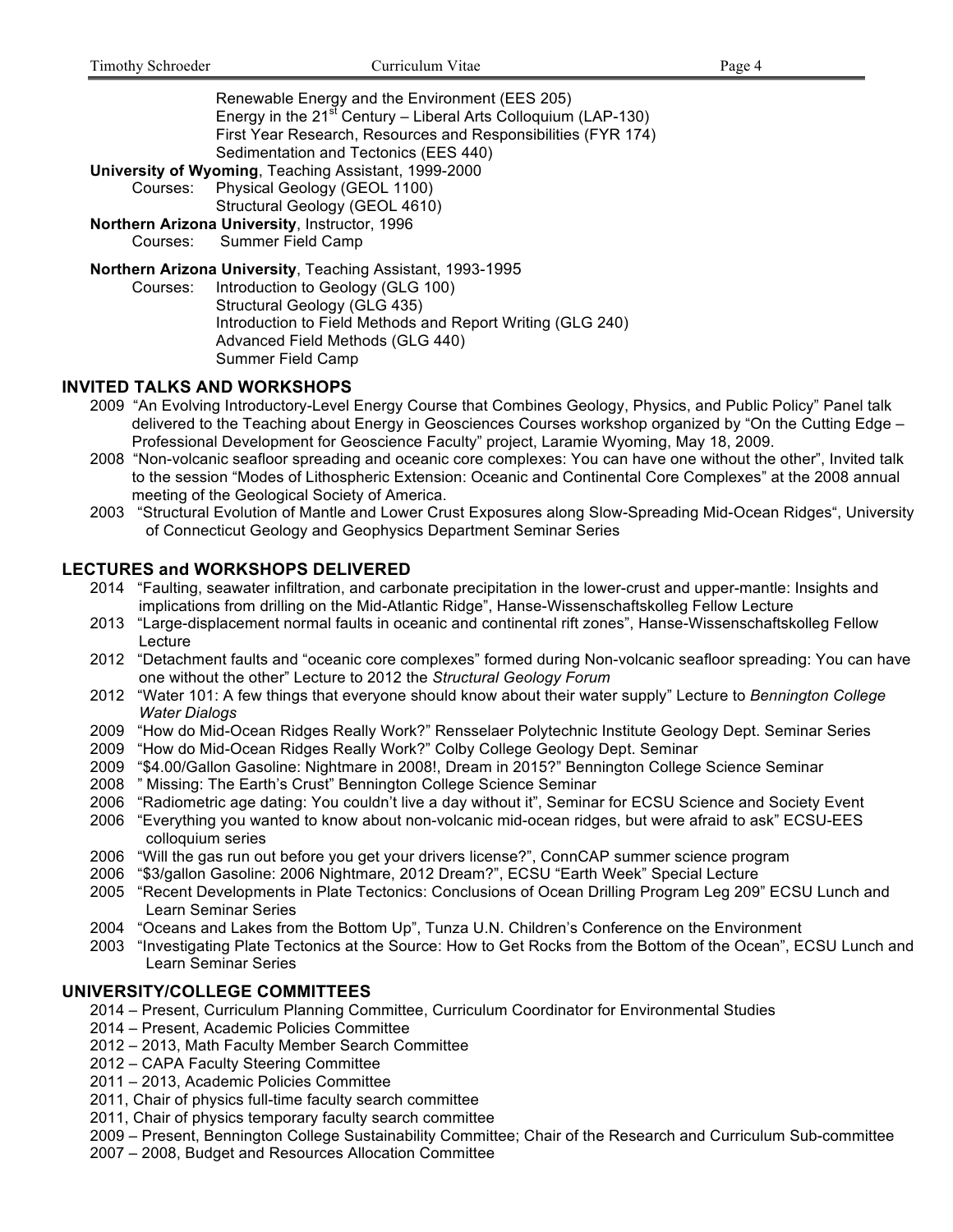Renewable Energy and the Environment (EES 205) Energy in the  $21<sup>st</sup>$  Century – Liberal Arts Colloquium (LAP-130) First Year Research, Resources and Responsibilities (FYR 174) Sedimentation and Tectonics (EES 440)

**University of Wyoming**, Teaching Assistant, 1999-2000

Courses: Physical Geology (GEOL 1100)

Structural Geology (GEOL 4610)

**Northern Arizona University**, Instructor, 1996

Courses: Summer Field Camp

**Northern Arizona University**, Teaching Assistant, 1993-1995

Courses: Introduction to Geology (GLG 100) Structural Geology (GLG 435) Introduction to Field Methods and Report Writing (GLG 240) Advanced Field Methods (GLG 440) Summer Field Camp

## **INVITED TALKS AND WORKSHOPS**

- 2009 "An Evolving Introductory-Level Energy Course that Combines Geology, Physics, and Public Policy" Panel talk delivered to the Teaching about Energy in Geosciences Courses workshop organized by "On the Cutting Edge – Professional Development for Geoscience Faculty" project, Laramie Wyoming, May 18, 2009.
- 2008 "Non-volcanic seafloor spreading and oceanic core complexes: You can have one without the other", Invited talk to the session "Modes of Lithospheric Extension: Oceanic and Continental Core Complexes" at the 2008 annual meeting of the Geological Society of America.
- 2003 "Structural Evolution of Mantle and Lower Crust Exposures along Slow-Spreading Mid-Ocean Ridges", University of Connecticut Geology and Geophysics Department Seminar Series

### **LECTURES and WORKSHOPS DELIVERED**

- 2014 "Faulting, seawater infiltration, and carbonate precipitation in the lower-crust and upper-mantle: Insights and implications from drilling on the Mid-Atlantic Ridge", Hanse-Wissenschaftskolleg Fellow Lecture
- 2013 "Large-displacement normal faults in oceanic and continental rift zones", Hanse-Wissenschaftskolleg Fellow Lecture
- 2012 "Detachment faults and "oceanic core complexes" formed during Non-volcanic seafloor spreading: You can have one without the other" Lecture to 2012 the *Structural Geology Forum*
- 2012 "Water 101: A few things that everyone should know about their water supply" Lecture to *Bennington College Water Dialogs*
- 2009 "How do Mid-Ocean Ridges Really Work?" Rensselaer Polytechnic Institute Geology Dept. Seminar Series
- 2009 "How do Mid-Ocean Ridges Really Work?" Colby College Geology Dept. Seminar
- 2009 "\$4.00/Gallon Gasoline: Nightmare in 2008!, Dream in 2015?" Bennington College Science Seminar
- 2008 " Missing: The Earth's Crust" Bennington College Science Seminar
- 2006 "Radiometric age dating: You couldn't live a day without it", Seminar for ECSU Science and Society Event
- 2006 "Everything you wanted to know about non-volcanic mid-ocean ridges, but were afraid to ask" ECSU-EES colloquium series
- 2006 "Will the gas run out before you get your drivers license?", ConnCAP summer science program
- 2006 "\$3/gallon Gasoline: 2006 Nightmare, 2012 Dream?", ECSU "Earth Week" Special Lecture
- 2005 "Recent Developments in Plate Tectonics: Conclusions of Ocean Drilling Program Leg 209" ECSU Lunch and Learn Seminar Series
- 2004 "Oceans and Lakes from the Bottom Up", Tunza U.N. Children's Conference on the Environment
- 2003 "Investigating Plate Tectonics at the Source: How to Get Rocks from the Bottom of the Ocean", ECSU Lunch and Learn Seminar Series

## **UNIVERSITY/COLLEGE COMMITTEES**

- 2014 Present, Curriculum Planning Committee, Curriculum Coordinator for Environmental Studies
- 2014 Present, Academic Policies Committee
- 2012 2013, Math Faculty Member Search Committee
- 2012 CAPA Faculty Steering Committee
- 2011 2013, Academic Policies Committee
- 2011, Chair of physics full-time faculty search committee
- 2011, Chair of physics temporary faculty search committee
- 2009 Present, Bennington College Sustainability Committee; Chair of the Research and Curriculum Sub-committee
- 2007 2008, Budget and Resources Allocation Committee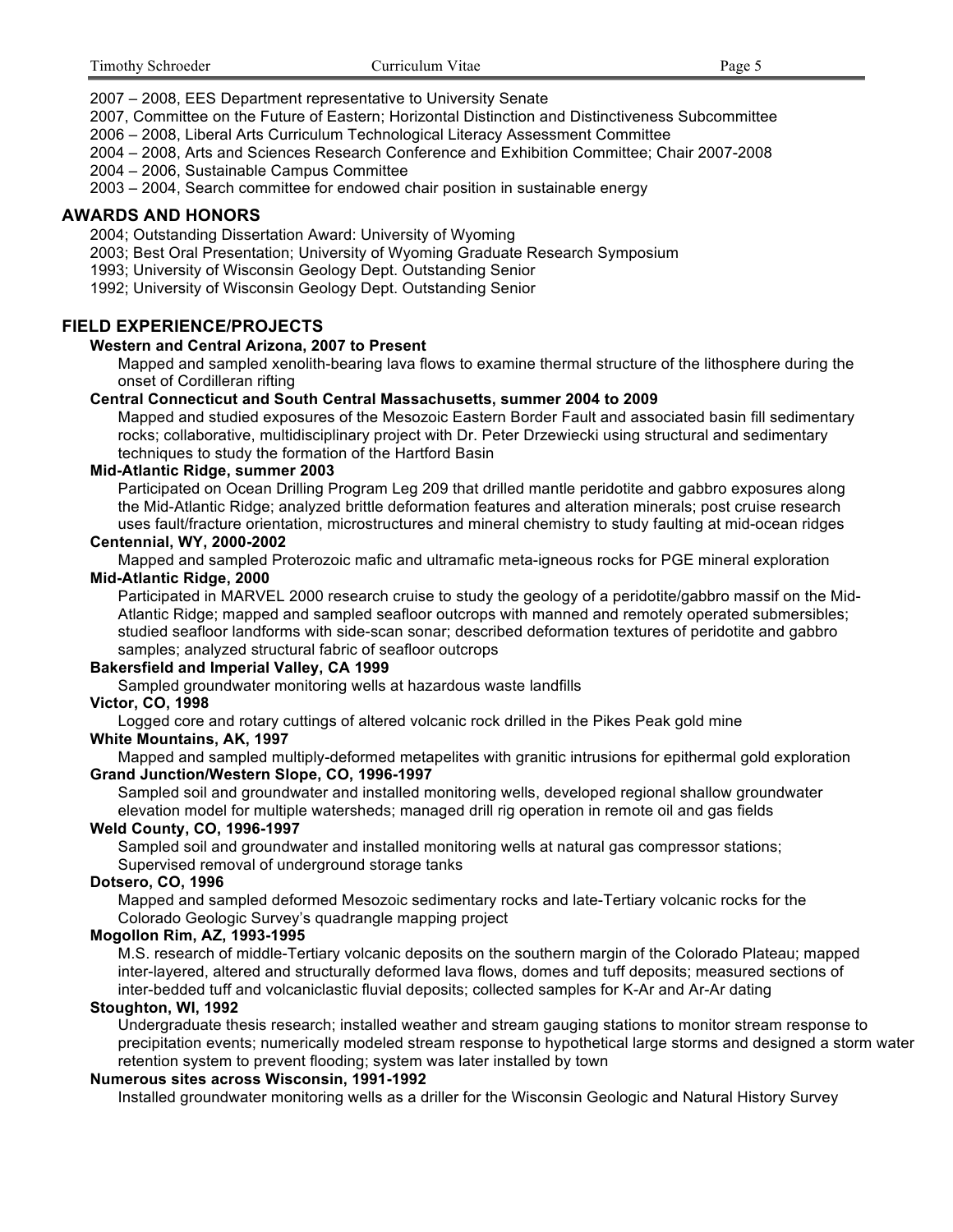2007 – 2008, EES Department representative to University Senate

2007, Committee on the Future of Eastern; Horizontal Distinction and Distinctiveness Subcommittee

2006 – 2008, Liberal Arts Curriculum Technological Literacy Assessment Committee

2004 – 2008, Arts and Sciences Research Conference and Exhibition Committee; Chair 2007-2008

2004 – 2006, Sustainable Campus Committee

2003 – 2004, Search committee for endowed chair position in sustainable energy

### **AWARDS AND HONORS**

2004; Outstanding Dissertation Award: University of Wyoming

2003; Best Oral Presentation; University of Wyoming Graduate Research Symposium

1993; University of Wisconsin Geology Dept. Outstanding Senior

1992; University of Wisconsin Geology Dept. Outstanding Senior

## **FIELD EXPERIENCE/PROJECTS**

### **Western and Central Arizona, 2007 to Present**

Mapped and sampled xenolith-bearing lava flows to examine thermal structure of the lithosphere during the onset of Cordilleran rifting

#### **Central Connecticut and South Central Massachusetts, summer 2004 to 2009**

Mapped and studied exposures of the Mesozoic Eastern Border Fault and associated basin fill sedimentary rocks; collaborative, multidisciplinary project with Dr. Peter Drzewiecki using structural and sedimentary techniques to study the formation of the Hartford Basin

#### **Mid-Atlantic Ridge, summer 2003**

Participated on Ocean Drilling Program Leg 209 that drilled mantle peridotite and gabbro exposures along the Mid-Atlantic Ridge; analyzed brittle deformation features and alteration minerals; post cruise research uses fault/fracture orientation, microstructures and mineral chemistry to study faulting at mid-ocean ridges

# **Centennial, WY, 2000-2002**

Mapped and sampled Proterozoic mafic and ultramafic meta-igneous rocks for PGE mineral exploration **Mid-Atlantic Ridge, 2000**

Participated in MARVEL 2000 research cruise to study the geology of a peridotite/gabbro massif on the Mid-Atlantic Ridge; mapped and sampled seafloor outcrops with manned and remotely operated submersibles; studied seafloor landforms with side-scan sonar; described deformation textures of peridotite and gabbro samples; analyzed structural fabric of seafloor outcrops

## **Bakersfield and Imperial Valley, CA 1999**

Sampled groundwater monitoring wells at hazardous waste landfills

### **Victor, CO, 1998**

Logged core and rotary cuttings of altered volcanic rock drilled in the Pikes Peak gold mine

### **White Mountains, AK, 1997**

Mapped and sampled multiply-deformed metapelites with granitic intrusions for epithermal gold exploration **Grand Junction/Western Slope, CO, 1996-1997**

Sampled soil and groundwater and installed monitoring wells, developed regional shallow groundwater elevation model for multiple watersheds; managed drill rig operation in remote oil and gas fields

### **Weld County, CO, 1996-1997**

Sampled soil and groundwater and installed monitoring wells at natural gas compressor stations; Supervised removal of underground storage tanks

### **Dotsero, CO, 1996**

Mapped and sampled deformed Mesozoic sedimentary rocks and late-Tertiary volcanic rocks for the Colorado Geologic Survey's quadrangle mapping project

### **Mogollon Rim, AZ, 1993-1995**

M.S. research of middle-Tertiary volcanic deposits on the southern margin of the Colorado Plateau; mapped inter-layered, altered and structurally deformed lava flows, domes and tuff deposits; measured sections of inter-bedded tuff and volcaniclastic fluvial deposits; collected samples for K-Ar and Ar-Ar dating

### **Stoughton, WI, 1992**

Undergraduate thesis research; installed weather and stream gauging stations to monitor stream response to precipitation events; numerically modeled stream response to hypothetical large storms and designed a storm water retention system to prevent flooding; system was later installed by town

### **Numerous sites across Wisconsin, 1991-1992**

Installed groundwater monitoring wells as a driller for the Wisconsin Geologic and Natural History Survey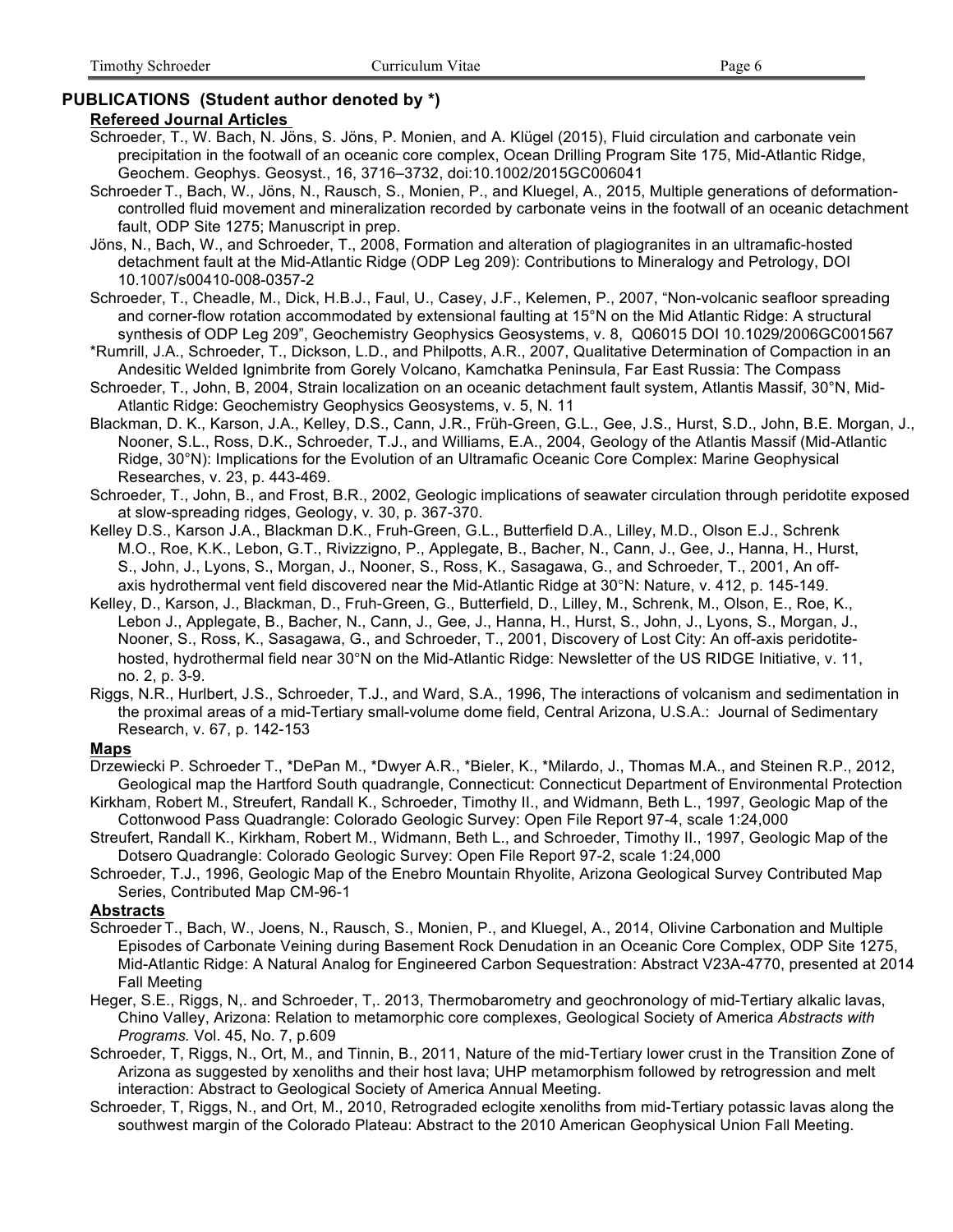# **PUBLICATIONS (Student author denoted by \*)**

# **Refereed Journal Articles**

- Schroeder, T., W. Bach, N. Jöns, S. Jöns, P. Monien, and A. Klügel (2015), Fluid circulation and carbonate vein precipitation in the footwall of an oceanic core complex, Ocean Drilling Program Site 175, Mid-Atlantic Ridge, Geochem. Geophys. Geosyst., 16, 3716–3732, doi:10.1002/2015GC006041
- Schroeder T., Bach, W., Jöns, N., Rausch, S., Monien, P., and Kluegel, A., 2015, Multiple generations of deformationcontrolled fluid movement and mineralization recorded by carbonate veins in the footwall of an oceanic detachment fault, ODP Site 1275; Manuscript in prep.
- Jöns, N., Bach, W., and Schroeder, T., 2008, Formation and alteration of plagiogranites in an ultramafic-hosted detachment fault at the Mid-Atlantic Ridge (ODP Leg 209): Contributions to Mineralogy and Petrology, DOI 10.1007/s00410-008-0357-2
- Schroeder, T., Cheadle, M., Dick, H.B.J., Faul, U., Casey, J.F., Kelemen, P., 2007, "Non-volcanic seafloor spreading and corner-flow rotation accommodated by extensional faulting at 15°N on the Mid Atlantic Ridge: A structural synthesis of ODP Leg 209", Geochemistry Geophysics Geosystems, v. 8, Q06015 DOI 10.1029/2006GC001567
- \*Rumrill, J.A., Schroeder, T., Dickson, L.D., and Philpotts, A.R., 2007, Qualitative Determination of Compaction in an Andesitic Welded Ignimbrite from Gorely Volcano, Kamchatka Peninsula, Far East Russia: The Compass
- Schroeder, T., John, B, 2004, Strain localization on an oceanic detachment fault system, Atlantis Massif, 30°N, Mid-Atlantic Ridge: Geochemistry Geophysics Geosystems, v. 5, N. 11
- Blackman, D. K., Karson, J.A., Kelley, D.S., Cann, J.R., Früh-Green, G.L., Gee, J.S., Hurst, S.D., John, B.E. Morgan, J., Nooner, S.L., Ross, D.K., Schroeder, T.J., and Williams, E.A., 2004, Geology of the Atlantis Massif (Mid-Atlantic Ridge, 30°N): Implications for the Evolution of an Ultramafic Oceanic Core Complex: Marine Geophysical Researches, v. 23, p. 443-469.
- Schroeder, T., John, B., and Frost, B.R., 2002, Geologic implications of seawater circulation through peridotite exposed at slow-spreading ridges, Geology, v. 30, p. 367-370.
- Kelley D.S., Karson J.A., Blackman D.K., Fruh-Green, G.L., Butterfield D.A., Lilley, M.D., Olson E.J., Schrenk M.O., Roe, K.K., Lebon, G.T., Rivizzigno, P., Applegate, B., Bacher, N., Cann, J., Gee, J., Hanna, H., Hurst, S., John, J., Lyons, S., Morgan, J., Nooner, S., Ross, K., Sasagawa, G., and Schroeder, T., 2001, An offaxis hydrothermal vent field discovered near the Mid-Atlantic Ridge at 30°N: Nature, v. 412, p. 145-149.
- Kelley, D., Karson, J., Blackman, D., Fruh-Green, G., Butterfield, D., Lilley, M., Schrenk, M., Olson, E., Roe, K., Lebon J., Applegate, B., Bacher, N., Cann, J., Gee, J., Hanna, H., Hurst, S., John, J., Lyons, S., Morgan, J., Nooner, S., Ross, K., Sasagawa, G., and Schroeder, T., 2001, Discovery of Lost City: An off-axis peridotitehosted, hydrothermal field near 30°N on the Mid-Atlantic Ridge: Newsletter of the US RIDGE Initiative, v. 11, no. 2, p. 3-9.
- Riggs, N.R., Hurlbert, J.S., Schroeder, T.J., and Ward, S.A., 1996, The interactions of volcanism and sedimentation in the proximal areas of a mid-Tertiary small-volume dome field, Central Arizona, U.S.A.: Journal of Sedimentary Research, v. 67, p. 142-153

## **Maps**

- Drzewiecki P. Schroeder T., \*DePan M., \*Dwyer A.R., \*Bieler, K., \*Milardo, J., Thomas M.A., and Steinen R.P., 2012, Geological map the Hartford South quadrangle, Connecticut: Connecticut Department of Environmental Protection
- Kirkham, Robert M., Streufert, Randall K., Schroeder, Timothy II., and Widmann, Beth L., 1997, Geologic Map of the Cottonwood Pass Quadrangle: Colorado Geologic Survey: Open File Report 97-4, scale 1:24,000
- Streufert, Randall K., Kirkham, Robert M., Widmann, Beth L., and Schroeder, Timothy II., 1997, Geologic Map of the Dotsero Quadrangle: Colorado Geologic Survey: Open File Report 97-2, scale 1:24,000
- Schroeder, T.J., 1996, Geologic Map of the Enebro Mountain Rhyolite, Arizona Geological Survey Contributed Map Series, Contributed Map CM-96-1

## **Abstracts**

- Schroeder T., Bach, W., Joens, N., Rausch, S., Monien, P., and Kluegel, A., 2014, Olivine Carbonation and Multiple Episodes of Carbonate Veining during Basement Rock Denudation in an Oceanic Core Complex, ODP Site 1275, Mid-Atlantic Ridge: A Natural Analog for Engineered Carbon Sequestration: Abstract V23A-4770, presented at 2014 Fall Meeting
- Heger, S.E., Riggs, N,. and Schroeder, T,. 2013, Thermobarometry and geochronology of mid-Tertiary alkalic lavas, Chino Valley, Arizona: Relation to metamorphic core complexes, Geological Society of America *Abstracts with Programs.* Vol. 45, No. 7, p.609
- Schroeder, T, Riggs, N., Ort, M., and Tinnin, B., 2011, Nature of the mid-Tertiary lower crust in the Transition Zone of Arizona as suggested by xenoliths and their host lava; UHP metamorphism followed by retrogression and melt interaction: Abstract to Geological Society of America Annual Meeting.
- Schroeder, T, Riggs, N., and Ort, M., 2010, Retrograded eclogite xenoliths from mid-Tertiary potassic lavas along the southwest margin of the Colorado Plateau: Abstract to the 2010 American Geophysical Union Fall Meeting.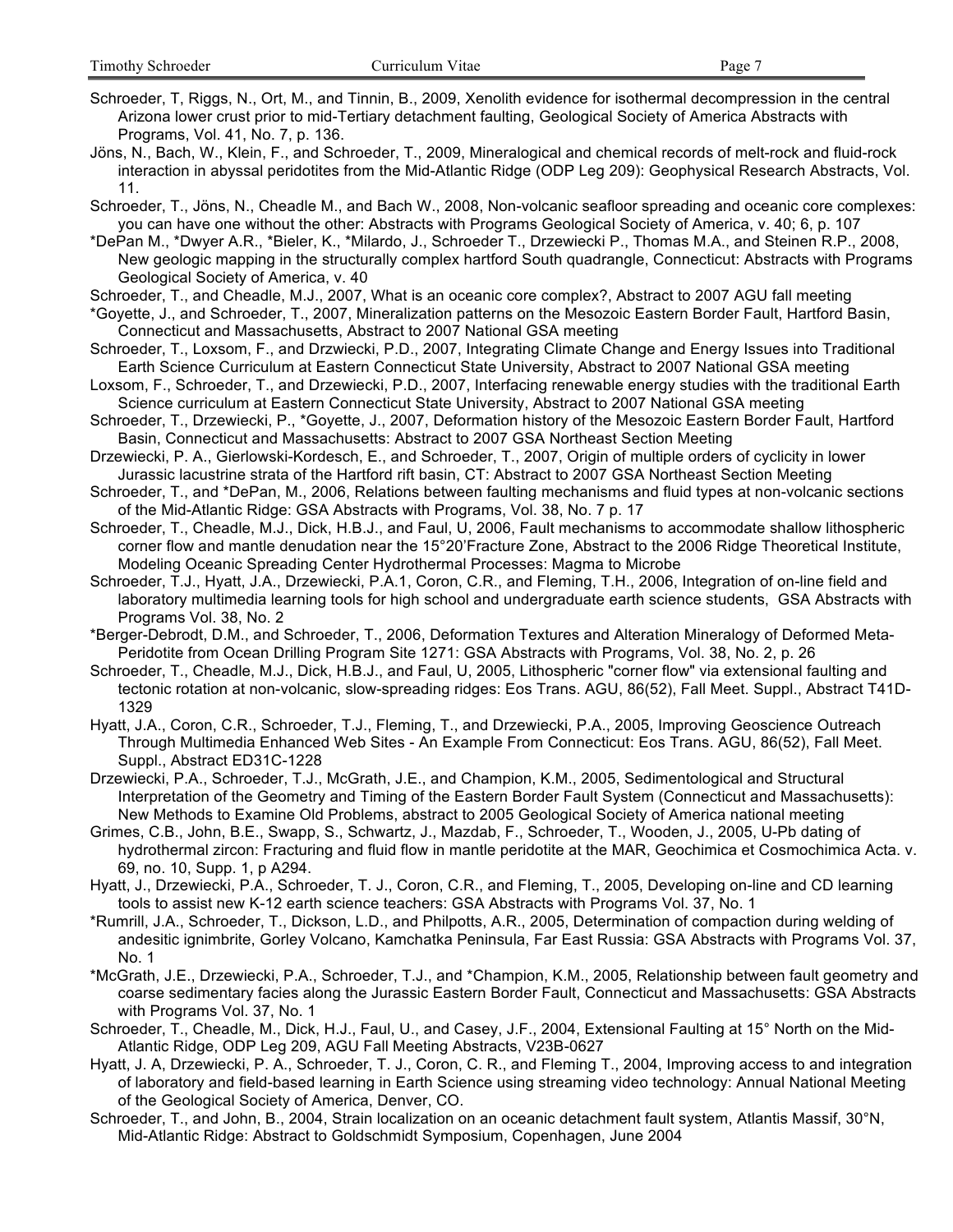Schroeder, T, Riggs, N., Ort, M., and Tinnin, B., 2009, Xenolith evidence for isothermal decompression in the central Arizona lower crust prior to mid-Tertiary detachment faulting, Geological Society of America Abstracts with Programs, Vol. 41, No. 7, p. 136.

Jöns, N., Bach, W., Klein, F., and Schroeder, T., 2009, Mineralogical and chemical records of melt-rock and fluid-rock interaction in abyssal peridotites from the Mid-Atlantic Ridge (ODP Leg 209): Geophysical Research Abstracts, Vol. 11.

Schroeder, T., Jöns, N., Cheadle M., and Bach W., 2008, Non-volcanic seafloor spreading and oceanic core complexes: you can have one without the other: Abstracts with Programs Geological Society of America, v. 40; 6, p. 107

\*DePan M., \*Dwyer A.R., \*Bieler, K., \*Milardo, J., Schroeder T., Drzewiecki P., Thomas M.A., and Steinen R.P., 2008, New geologic mapping in the structurally complex hartford South quadrangle, Connecticut: Abstracts with Programs Geological Society of America, v. 40

Schroeder, T., and Cheadle, M.J., 2007, What is an oceanic core complex?, Abstract to 2007 AGU fall meeting

\*Goyette, J., and Schroeder, T., 2007, Mineralization patterns on the Mesozoic Eastern Border Fault, Hartford Basin, Connecticut and Massachusetts, Abstract to 2007 National GSA meeting

Schroeder, T., Loxsom, F., and Drzwiecki, P.D., 2007, Integrating Climate Change and Energy Issues into Traditional Earth Science Curriculum at Eastern Connecticut State University, Abstract to 2007 National GSA meeting

Loxsom, F., Schroeder, T., and Drzewiecki, P.D., 2007, Interfacing renewable energy studies with the traditional Earth Science curriculum at Eastern Connecticut State University, Abstract to 2007 National GSA meeting

- Schroeder, T., Drzewiecki, P., \*Goyette, J., 2007, Deformation history of the Mesozoic Eastern Border Fault, Hartford Basin, Connecticut and Massachusetts: Abstract to 2007 GSA Northeast Section Meeting
- Drzewiecki, P. A., Gierlowski-Kordesch, E., and Schroeder, T., 2007, Origin of multiple orders of cyclicity in lower Jurassic lacustrine strata of the Hartford rift basin, CT: Abstract to 2007 GSA Northeast Section Meeting
- Schroeder, T., and \*DePan, M., 2006, Relations between faulting mechanisms and fluid types at non-volcanic sections of the Mid-Atlantic Ridge: GSA Abstracts with Programs, Vol. 38, No. 7 p. 17

Schroeder, T., Cheadle, M.J., Dick, H.B.J., and Faul, U, 2006, Fault mechanisms to accommodate shallow lithospheric corner flow and mantle denudation near the 15°20'Fracture Zone, Abstract to the 2006 Ridge Theoretical Institute, Modeling Oceanic Spreading Center Hydrothermal Processes: Magma to Microbe

Schroeder, T.J., Hyatt, J.A., Drzewiecki, P.A.1, Coron, C.R., and Fleming, T.H., 2006, Integration of on-line field and laboratory multimedia learning tools for high school and undergraduate earth science students, GSA Abstracts with Programs Vol. 38, No. 2

\*Berger-Debrodt, D.M., and Schroeder, T., 2006, Deformation Textures and Alteration Mineralogy of Deformed Meta-Peridotite from Ocean Drilling Program Site 1271: GSA Abstracts with Programs, Vol. 38, No. 2, p. 26

Schroeder, T., Cheadle, M.J., Dick, H.B.J., and Faul, U, 2005, Lithospheric "corner flow" via extensional faulting and tectonic rotation at non-volcanic, slow-spreading ridges: Eos Trans. AGU, 86(52), Fall Meet. Suppl., Abstract T41D-1329

Hyatt, J.A., Coron, C.R., Schroeder, T.J., Fleming, T., and Drzewiecki, P.A., 2005, Improving Geoscience Outreach Through Multimedia Enhanced Web Sites - An Example From Connecticut: Eos Trans. AGU, 86(52), Fall Meet. Suppl., Abstract ED31C-1228

Drzewiecki, P.A., Schroeder, T.J., McGrath, J.E., and Champion, K.M., 2005, Sedimentological and Structural Interpretation of the Geometry and Timing of the Eastern Border Fault System (Connecticut and Massachusetts): New Methods to Examine Old Problems, abstract to 2005 Geological Society of America national meeting

Grimes, C.B., John, B.E., Swapp, S., Schwartz, J., Mazdab, F., Schroeder, T., Wooden, J., 2005, U-Pb dating of hydrothermal zircon: Fracturing and fluid flow in mantle peridotite at the MAR, Geochimica et Cosmochimica Acta. v. 69, no. 10, Supp. 1, p A294.

Hyatt, J., Drzewiecki, P.A., Schroeder, T. J., Coron, C.R., and Fleming, T., 2005, Developing on-line and CD learning tools to assist new K-12 earth science teachers: GSA Abstracts with Programs Vol. 37, No. 1

\*Rumrill, J.A., Schroeder, T., Dickson, L.D., and Philpotts, A.R., 2005, Determination of compaction during welding of andesitic ignimbrite, Gorley Volcano, Kamchatka Peninsula, Far East Russia: GSA Abstracts with Programs Vol. 37, No. 1

\*McGrath, J.E., Drzewiecki, P.A., Schroeder, T.J., and \*Champion, K.M., 2005, Relationship between fault geometry and coarse sedimentary facies along the Jurassic Eastern Border Fault, Connecticut and Massachusetts: GSA Abstracts with Programs Vol. 37, No. 1

Schroeder, T., Cheadle, M., Dick, H.J., Faul, U., and Casey, J.F., 2004, Extensional Faulting at 15° North on the Mid-Atlantic Ridge, ODP Leg 209, AGU Fall Meeting Abstracts, V23B-0627

Hyatt, J. A, Drzewiecki, P. A., Schroeder, T. J., Coron, C. R., and Fleming T., 2004, Improving access to and integration of laboratory and field-based learning in Earth Science using streaming video technology: Annual National Meeting of the Geological Society of America, Denver, CO.

Schroeder, T., and John, B., 2004, Strain localization on an oceanic detachment fault system, Atlantis Massif, 30°N, Mid-Atlantic Ridge: Abstract to Goldschmidt Symposium, Copenhagen, June 2004